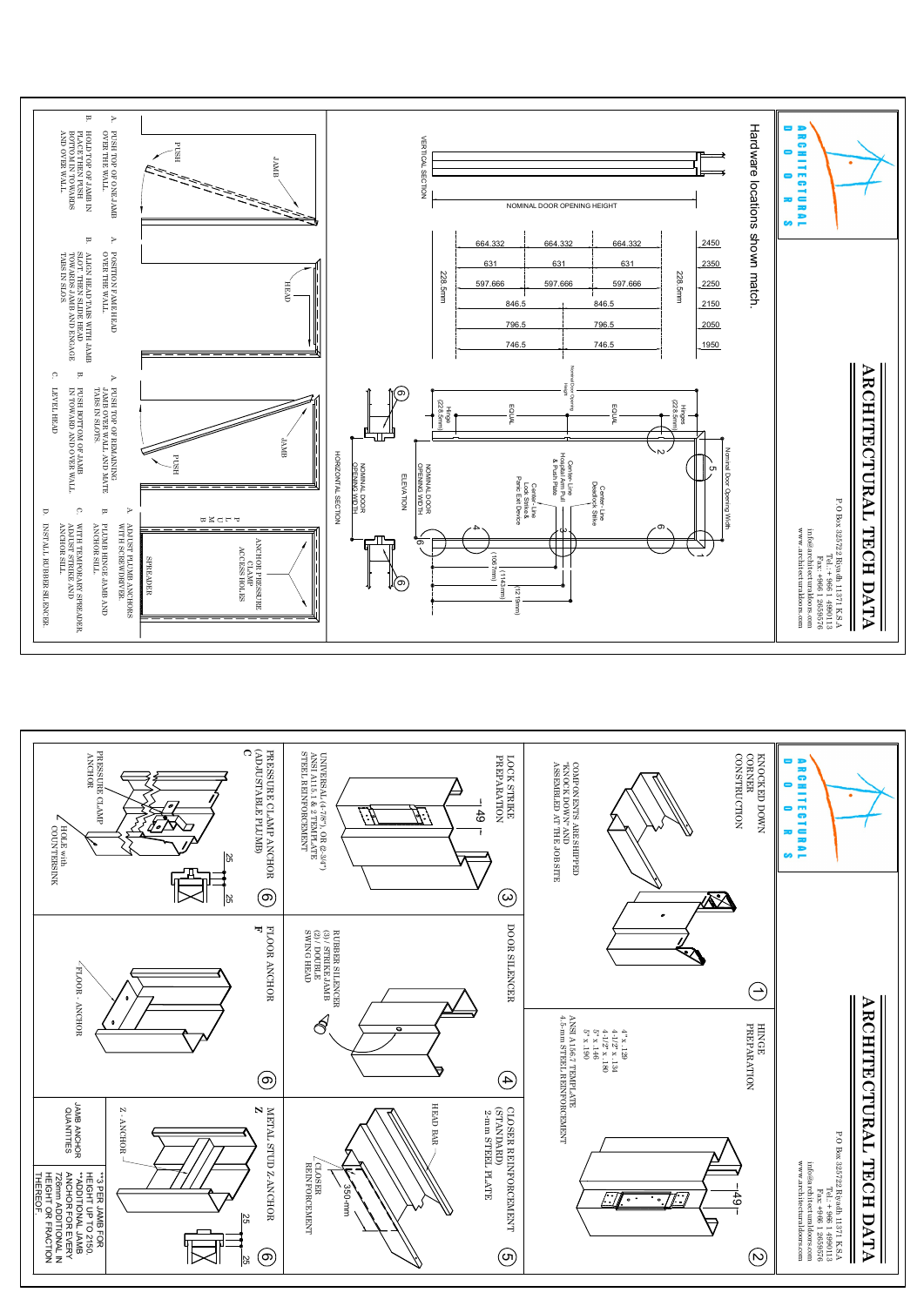